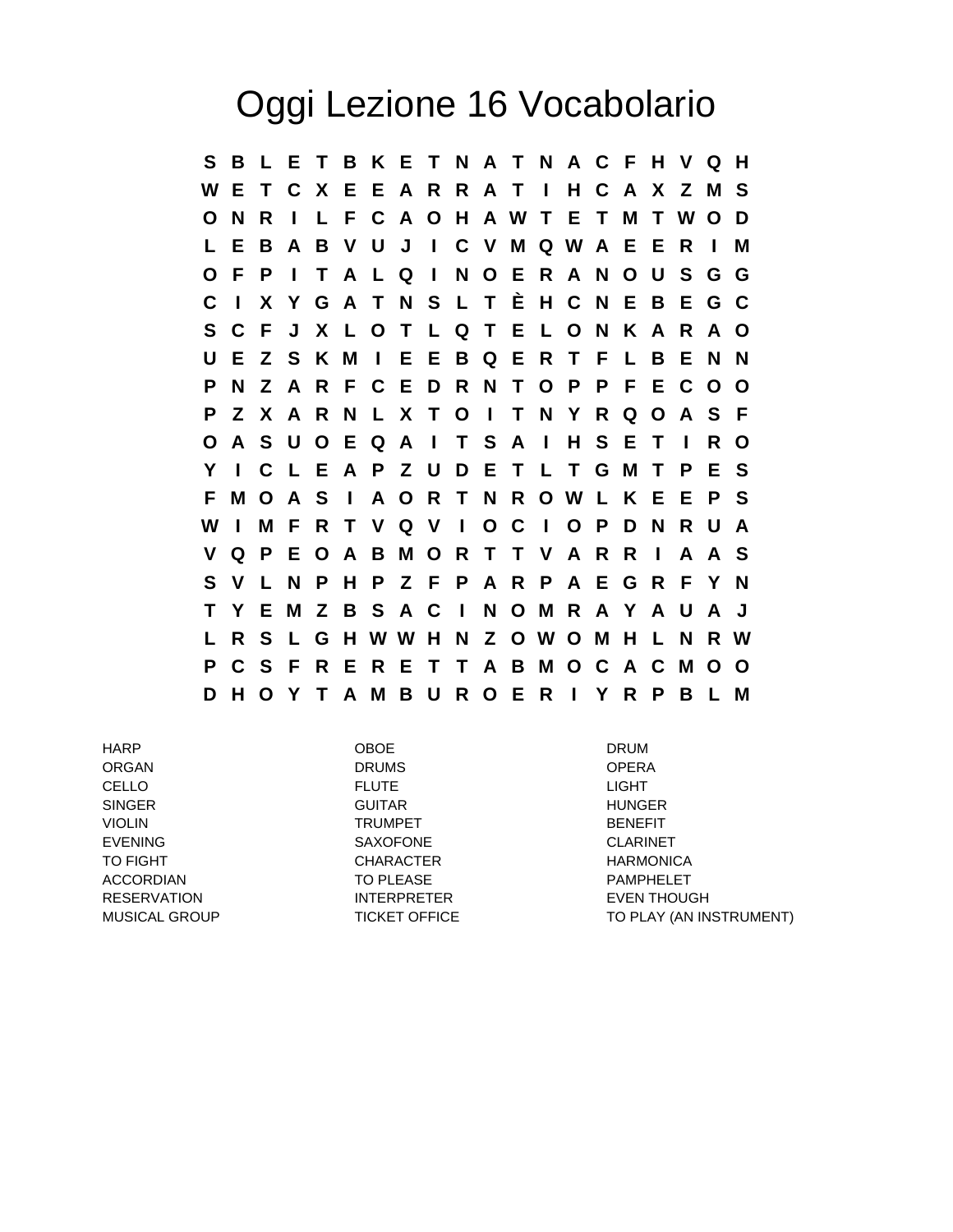## Oggi Lezione 16 Vocabolario

**S B L E T B K E T N A T N A C F H V Q H W E T C X E E A R R A T I H C A X Z M S O N R I L F C A O H A W T E T M T W O D L E B A B V U J I C V M Q W A E E R I M O F P I T A L Q I N O E R A N O U S G G C I X Y G A T N S L T È H C N E B E G C S C F J X L O T L Q T E L O N K A R A O U E Z S K M I E E B Q E R T F L B E N N P N Z A R F C E D R N T O P P F E C O O P Z X A R N L X T O I T N Y R Q O A S F O A S U O E Q A I T S A I H S E T I R O Y I C L E A P Z U D E T L T G M T P E S F M O A S I A O R T N R O W L K E E P S W I M F R T V Q V I O C I O P D N R U A V Q P E O A B M O R T T V A R R I A A S S V L N P H P Z F P A R P A E G R F Y N T Y E M Z B S A C I N O M R A Y A U A J L R S L G H W W H N Z O W O M H L N R W P C S F R E R E T T A B M O C A C M O O D H O Y T A M B U R O E R I Y R P B L M**

HARP OBOE DRUM ORGAN DRUMS OPERA CELLO FLUTE LIGHT SINGER GUITAR HUNGER VIOLIN TRUMPET BENEFIT EVENING SAXOFONE CLARINET TO FIGHT **CHARACTER CHARACTER** HARMONICA ACCORDIAN TO PLEASE TO PLEASE PAMPHELET RESERVATION INTERPRETER EVEN THOUGH

MUSICAL GROUP **TICKET OFFICE** TO PLAY (AN INSTRUMENT)